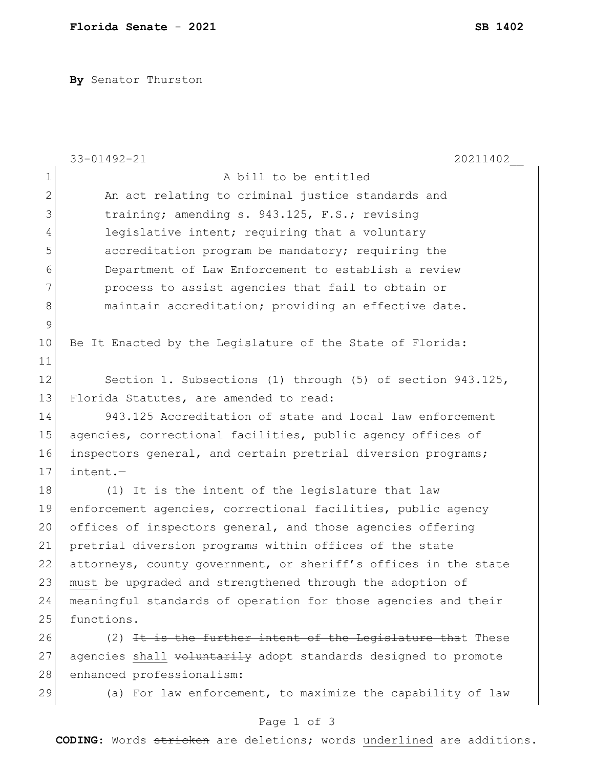**By** Senator Thurston

|               | 33-01492-21<br>20211402                                         |
|---------------|-----------------------------------------------------------------|
| $\mathbf 1$   | A bill to be entitled                                           |
| $\mathbf{2}$  | An act relating to criminal justice standards and               |
| 3             | training; amending s. 943.125, F.S.; revising                   |
| 4             | legislative intent; requiring that a voluntary                  |
| 5             | accreditation program be mandatory; requiring the               |
| 6             | Department of Law Enforcement to establish a review             |
| 7             | process to assist agencies that fail to obtain or               |
| 8             | maintain accreditation; providing an effective date.            |
| $\mathcal{G}$ |                                                                 |
| 10            | Be It Enacted by the Legislature of the State of Florida:       |
| 11            |                                                                 |
| 12            | Section 1. Subsections (1) through (5) of section 943.125,      |
| 13            | Florida Statutes, are amended to read:                          |
| 14            | 943.125 Accreditation of state and local law enforcement        |
| 15            | agencies, correctional facilities, public agency offices of     |
| 16            | inspectors general, and certain pretrial diversion programs;    |
| 17            | $intent. -$                                                     |
| 18            | (1) It is the intent of the legislature that law                |
| 19            | enforcement agencies, correctional facilities, public agency    |
| 20            | offices of inspectors general, and those agencies offering      |
| 21            | pretrial diversion programs within offices of the state         |
| 22            | attorneys, county government, or sheriff's offices in the state |
| 23            | must be upgraded and strengthened through the adoption of       |
| 24            | meaningful standards of operation for those agencies and their  |
| 25            | functions.                                                      |
| 26            | (2) It is the further intent of the Legislature that These      |
| 27            | agencies shall voluntarily adopt standards designed to promote  |
| 28            | enhanced professionalism:                                       |
| 29            | (a) For law enforcement, to maximize the capability of law      |

Page 1 of 3

**CODING**: Words stricken are deletions; words underlined are additions.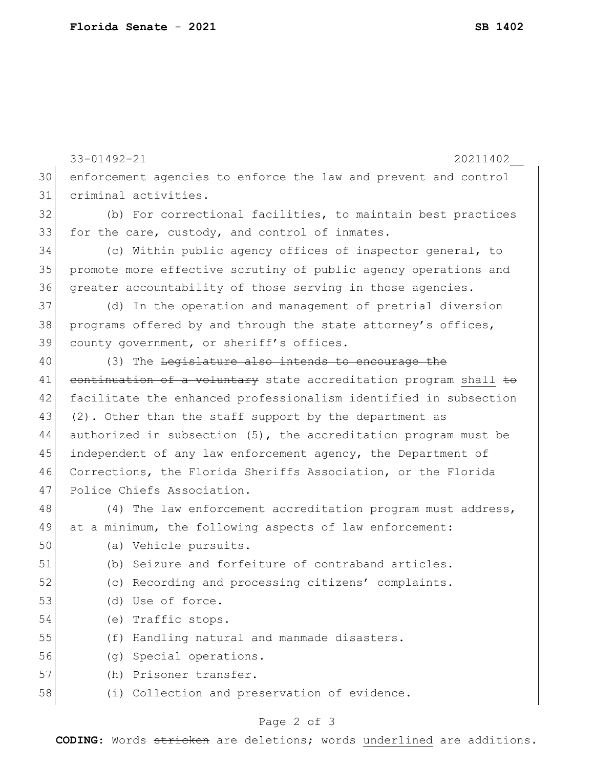|    | $33 - 01492 - 21$<br>20211402                                      |
|----|--------------------------------------------------------------------|
| 30 | enforcement agencies to enforce the law and prevent and control    |
| 31 | criminal activities.                                               |
| 32 | (b) For correctional facilities, to maintain best practices        |
| 33 | for the care, custody, and control of inmates.                     |
| 34 | (c) Within public agency offices of inspector general, to          |
| 35 | promote more effective scrutiny of public agency operations and    |
| 36 | greater accountability of those serving in those agencies.         |
| 37 | (d) In the operation and management of pretrial diversion          |
| 38 | programs offered by and through the state attorney's offices,      |
| 39 | county government, or sheriff's offices.                           |
| 40 | (3) The Legislature also intends to encourage the                  |
| 41 | eontinuation of a voluntary state accreditation program shall to   |
| 42 | facilitate the enhanced professionalism identified in subsection   |
| 43 | (2). Other than the staff support by the department as             |
| 44 | authorized in subsection $(5)$ , the accreditation program must be |
| 45 | independent of any law enforcement agency, the Department of       |
| 46 | Corrections, the Florida Sheriffs Association, or the Florida      |
| 47 | Police Chiefs Association.                                         |
| 48 | (4) The law enforcement accreditation program must address,        |
| 49 | at a minimum, the following aspects of law enforcement:            |
| 50 | (a) Vehicle pursuits.                                              |
| 51 | (b) Seizure and forfeiture of contraband articles.                 |
| 52 | (c) Recording and processing citizens' complaints.                 |
| 53 | (d) Use of force.                                                  |
| 54 | (e) Traffic stops.                                                 |
| 55 | Handling natural and manmade disasters.<br>(f)                     |
| 56 | (g) Special operations.                                            |
| 57 | (h) Prisoner transfer.                                             |
| 58 | (i) Collection and preservation of evidence.                       |
|    |                                                                    |

## Page 2 of 3

**CODING**: Words stricken are deletions; words underlined are additions.